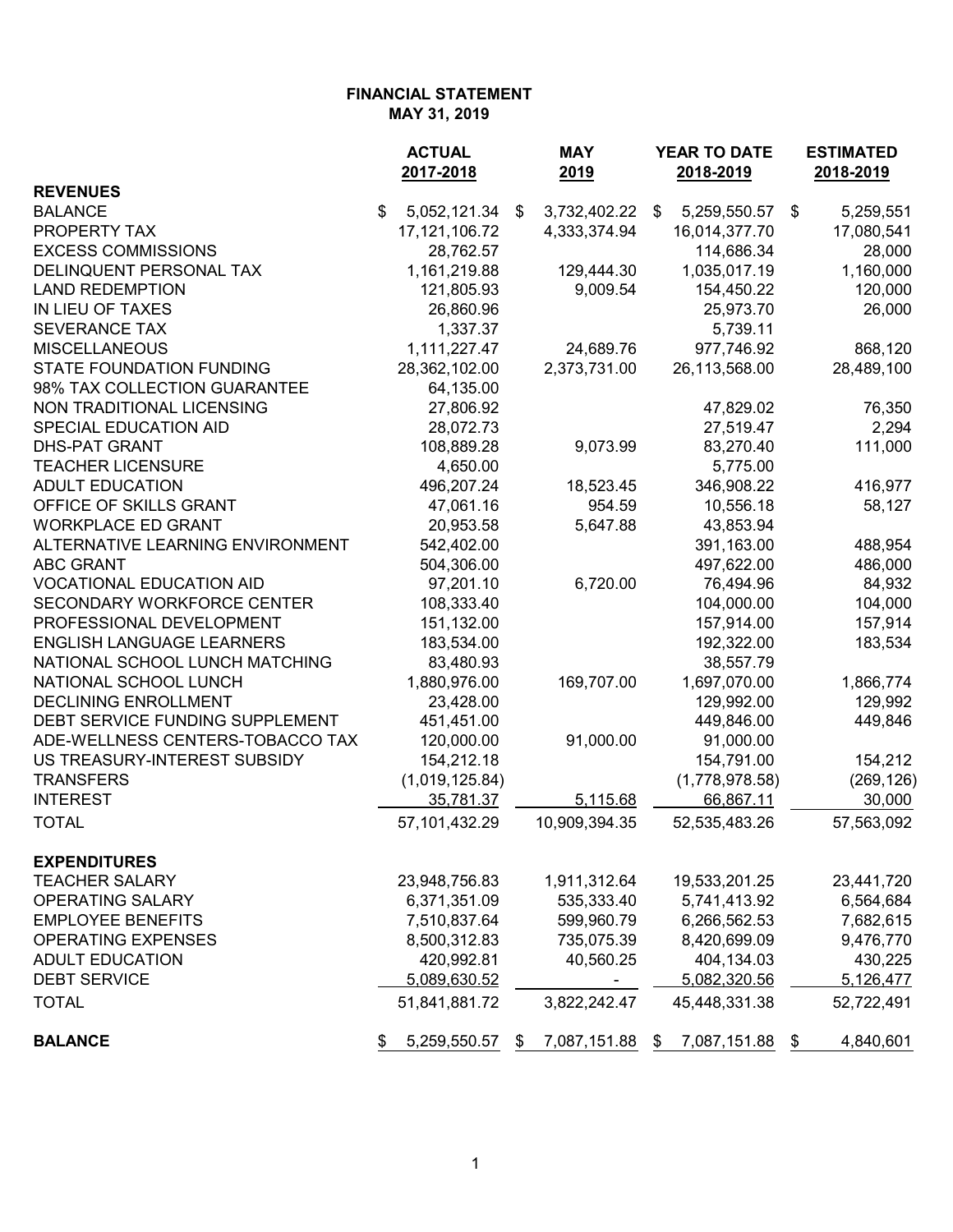|                                   | <b>ACTUAL</b><br>2017-2018 | <b>MAY</b><br>2019 | <b>YEAR TO DATE</b><br>2018-2019 | <b>ESTIMATED</b><br>2018-2019 |  |
|-----------------------------------|----------------------------|--------------------|----------------------------------|-------------------------------|--|
| <b>REVENUES</b>                   |                            |                    |                                  |                               |  |
| <b>BALANCE</b>                    | \$<br>5,052,121.34         | 3,732,402.22<br>\$ | 5,259,550.57<br>\$               | 5,259,551<br>\$               |  |
| PROPERTY TAX                      | 17, 121, 106. 72           | 4,333,374.94       | 16,014,377.70                    | 17,080,541                    |  |
| <b>EXCESS COMMISSIONS</b>         | 28,762.57                  |                    | 114,686.34                       | 28,000                        |  |
| DELINQUENT PERSONAL TAX           | 1,161,219.88               | 129,444.30         | 1,035,017.19                     | 1,160,000                     |  |
| <b>LAND REDEMPTION</b>            | 121,805.93                 | 9,009.54           | 154,450.22                       | 120,000                       |  |
| IN LIEU OF TAXES                  | 26,860.96                  |                    | 25,973.70                        | 26,000                        |  |
| <b>SEVERANCE TAX</b>              | 1,337.37                   |                    | 5,739.11                         |                               |  |
| <b>MISCELLANEOUS</b>              | 1,111,227.47               | 24,689.76          | 977,746.92                       | 868,120                       |  |
| <b>STATE FOUNDATION FUNDING</b>   | 28,362,102.00              | 2,373,731.00       | 26,113,568.00                    | 28,489,100                    |  |
| 98% TAX COLLECTION GUARANTEE      | 64,135.00                  |                    |                                  |                               |  |
| NON TRADITIONAL LICENSING         | 27,806.92                  |                    | 47,829.02                        | 76,350                        |  |
| SPECIAL EDUCATION AID             | 28,072.73                  |                    | 27,519.47                        | 2,294                         |  |
| <b>DHS-PAT GRANT</b>              | 108,889.28                 | 9,073.99           | 83,270.40                        | 111,000                       |  |
| <b>TEACHER LICENSURE</b>          | 4,650.00                   |                    | 5,775.00                         |                               |  |
| <b>ADULT EDUCATION</b>            | 496,207.24                 | 18,523.45          | 346,908.22                       | 416,977                       |  |
| OFFICE OF SKILLS GRANT            | 47,061.16                  | 954.59             | 10,556.18                        | 58,127                        |  |
| <b>WORKPLACE ED GRANT</b>         | 20,953.58                  | 5,647.88           | 43,853.94                        |                               |  |
| ALTERNATIVE LEARNING ENVIRONMENT  | 542,402.00                 |                    | 391,163.00                       | 488,954                       |  |
| <b>ABC GRANT</b>                  | 504,306.00                 |                    | 497,622.00                       | 486,000                       |  |
| <b>VOCATIONAL EDUCATION AID</b>   | 97,201.10                  | 6,720.00           | 76,494.96                        | 84,932                        |  |
| <b>SECONDARY WORKFORCE CENTER</b> | 108,333.40                 |                    | 104,000.00                       | 104,000                       |  |
| PROFESSIONAL DEVELOPMENT          | 151,132.00                 |                    | 157,914.00                       | 157,914                       |  |
| <b>ENGLISH LANGUAGE LEARNERS</b>  | 183,534.00                 |                    | 192,322.00                       | 183,534                       |  |
| NATIONAL SCHOOL LUNCH MATCHING    | 83,480.93                  |                    | 38,557.79                        |                               |  |
| NATIONAL SCHOOL LUNCH             | 1,880,976.00               | 169,707.00         | 1,697,070.00                     | 1,866,774                     |  |
| <b>DECLINING ENROLLMENT</b>       | 23,428.00                  |                    | 129,992.00                       | 129,992                       |  |
| DEBT SERVICE FUNDING SUPPLEMENT   | 451,451.00                 |                    | 449,846.00                       | 449,846                       |  |
| ADE-WELLNESS CENTERS-TOBACCO TAX  | 120,000.00                 | 91,000.00          | 91,000.00                        |                               |  |
| US TREASURY-INTEREST SUBSIDY      | 154,212.18                 |                    | 154,791.00                       | 154,212                       |  |
| <b>TRANSFERS</b>                  | (1,019,125.84)             |                    | (1,778,978.58)                   | (269, 126)                    |  |
| <b>INTEREST</b>                   | 35,781.37                  | 5,115.68           | 66,867.11                        | 30,000                        |  |
| <b>TOTAL</b>                      | 57,101,432.29              | 10,909,394.35      | 52,535,483.26                    | 57,563,092                    |  |
| <b>EXPENDITURES</b>               |                            |                    |                                  |                               |  |
| <b>TEACHER SALARY</b>             | 23,948,756.83              | 1,911,312.64       | 19,533,201.25                    | 23,441,720                    |  |
| <b>OPERATING SALARY</b>           | 6,371,351.09               | 535,333.40         | 5,741,413.92                     | 6,564,684                     |  |
| <b>EMPLOYEE BENEFITS</b>          | 7,510,837.64               | 599,960.79         | 6,266,562.53                     | 7,682,615                     |  |
| <b>OPERATING EXPENSES</b>         | 8,500,312.83               | 735,075.39         | 8,420,699.09                     | 9,476,770                     |  |
| <b>ADULT EDUCATION</b>            | 420,992.81                 | 40,560.25          | 404,134.03                       | 430,225                       |  |
| <b>DEBT SERVICE</b>               | 5,089,630.52               | -                  | 5,082,320.56                     | 5,126,477                     |  |
| <b>TOTAL</b>                      | 51,841,881.72              | 3,822,242.47       | 45,448,331.38                    | 52,722,491                    |  |
| <b>BALANCE</b>                    | 5,259,550.57<br>\$         | 7,087,151.88<br>\$ | 7,087,151.88<br>\$               | 4,840,601<br>\$               |  |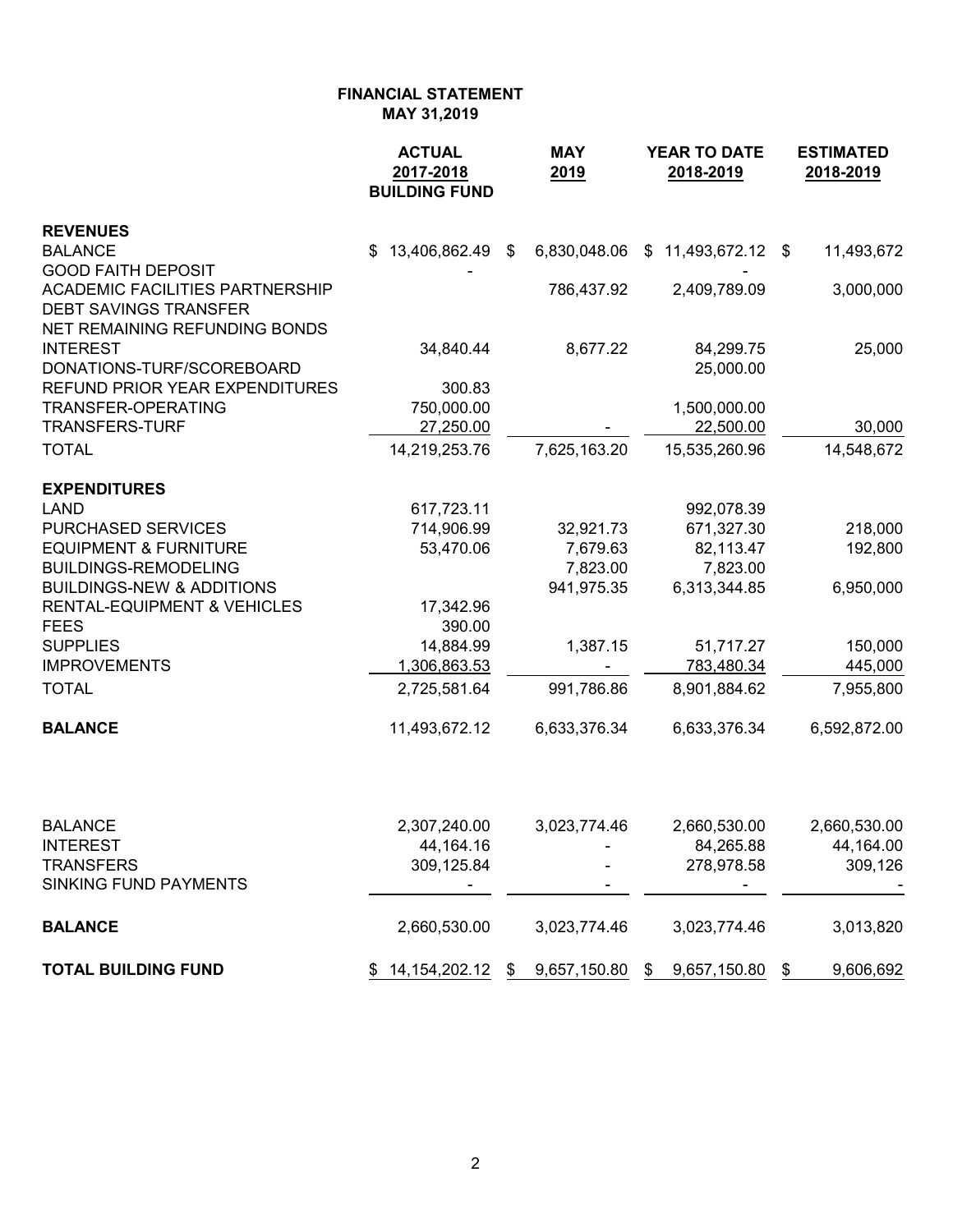|                                                                        | <b>ACTUAL</b><br>2017-2018<br><b>BUILDING FUND</b> | <b>MAY</b><br>2019 |     | YEAR TO DATE<br>2018-2019  | <b>ESTIMATED</b><br>2018-2019 |
|------------------------------------------------------------------------|----------------------------------------------------|--------------------|-----|----------------------------|-------------------------------|
| <b>REVENUES</b>                                                        |                                                    |                    |     |                            |                               |
| <b>BALANCE</b>                                                         | \$13,406,862.49                                    | \$<br>6,830,048.06 | - S | 11,493,672.12 \$           | 11,493,672                    |
| <b>GOOD FAITH DEPOSIT</b>                                              |                                                    |                    |     |                            |                               |
| <b>ACADEMIC FACILITIES PARTNERSHIP</b><br><b>DEBT SAVINGS TRANSFER</b> |                                                    | 786,437.92         |     | 2,409,789.09               | 3,000,000                     |
| NET REMAINING REFUNDING BONDS                                          |                                                    |                    |     |                            |                               |
| <b>INTEREST</b>                                                        | 34,840.44                                          | 8,677.22           |     | 84,299.75                  | 25,000                        |
| DONATIONS-TURF/SCOREBOARD                                              |                                                    |                    |     | 25,000.00                  |                               |
| REFUND PRIOR YEAR EXPENDITURES                                         | 300.83                                             |                    |     |                            |                               |
| <b>TRANSFER-OPERATING</b>                                              | 750,000.00                                         |                    |     | 1,500,000.00               |                               |
| <b>TRANSFERS-TURF</b>                                                  | 27,250.00                                          |                    |     | 22,500.00                  | 30,000                        |
| <b>TOTAL</b>                                                           | 14,219,253.76                                      | 7,625,163.20       |     | 15,535,260.96              | 14,548,672                    |
| <b>EXPENDITURES</b>                                                    |                                                    |                    |     |                            |                               |
| <b>LAND</b>                                                            | 617,723.11                                         |                    |     | 992,078.39                 |                               |
| <b>PURCHASED SERVICES</b>                                              | 714,906.99                                         | 32,921.73          |     | 671,327.30                 | 218,000                       |
| <b>EQUIPMENT &amp; FURNITURE</b>                                       | 53,470.06                                          | 7,679.63           |     | 82,113.47                  | 192,800                       |
| <b>BUILDINGS-REMODELING</b>                                            |                                                    | 7,823.00           |     | 7,823.00                   |                               |
| <b>BUILDINGS-NEW &amp; ADDITIONS</b>                                   |                                                    | 941,975.35         |     | 6,313,344.85               | 6,950,000                     |
| <b>RENTAL-EQUIPMENT &amp; VEHICLES</b>                                 | 17,342.96                                          |                    |     |                            |                               |
| <b>FEES</b>                                                            | 390.00                                             |                    |     |                            |                               |
| <b>SUPPLIES</b><br><b>IMPROVEMENTS</b>                                 | 14,884.99                                          | 1,387.15           |     | 51,717.27                  | 150,000                       |
| <b>TOTAL</b>                                                           | 1,306,863.53<br>2,725,581.64                       | 991,786.86         |     | 783,480.34<br>8,901,884.62 | 445,000<br>7,955,800          |
|                                                                        |                                                    |                    |     |                            |                               |
| <b>BALANCE</b>                                                         | 11,493,672.12                                      | 6,633,376.34       |     | 6,633,376.34               | 6,592,872.00                  |
|                                                                        |                                                    |                    |     |                            |                               |
| <b>BALANCE</b>                                                         | 2,307,240.00                                       | 3,023,774.46       |     | 2,660,530.00               | 2,660,530.00                  |
| <b>INTEREST</b>                                                        | 44,164.16                                          |                    |     | 84,265.88                  | 44,164.00                     |
| <b>TRANSFERS</b><br><b>SINKING FUND PAYMENTS</b>                       | 309,125.84                                         |                    |     | 278,978.58                 | 309,126                       |
|                                                                        |                                                    |                    |     |                            |                               |
| <b>BALANCE</b>                                                         | 2,660,530.00                                       | 3,023,774.46       |     | 3,023,774.46               | 3,013,820                     |
| <b>TOTAL BUILDING FUND</b>                                             | $$14,154,202.12$ \$                                | 9,657,150.80 \$    |     | 9,657,150.80               | \$<br>9,606,692               |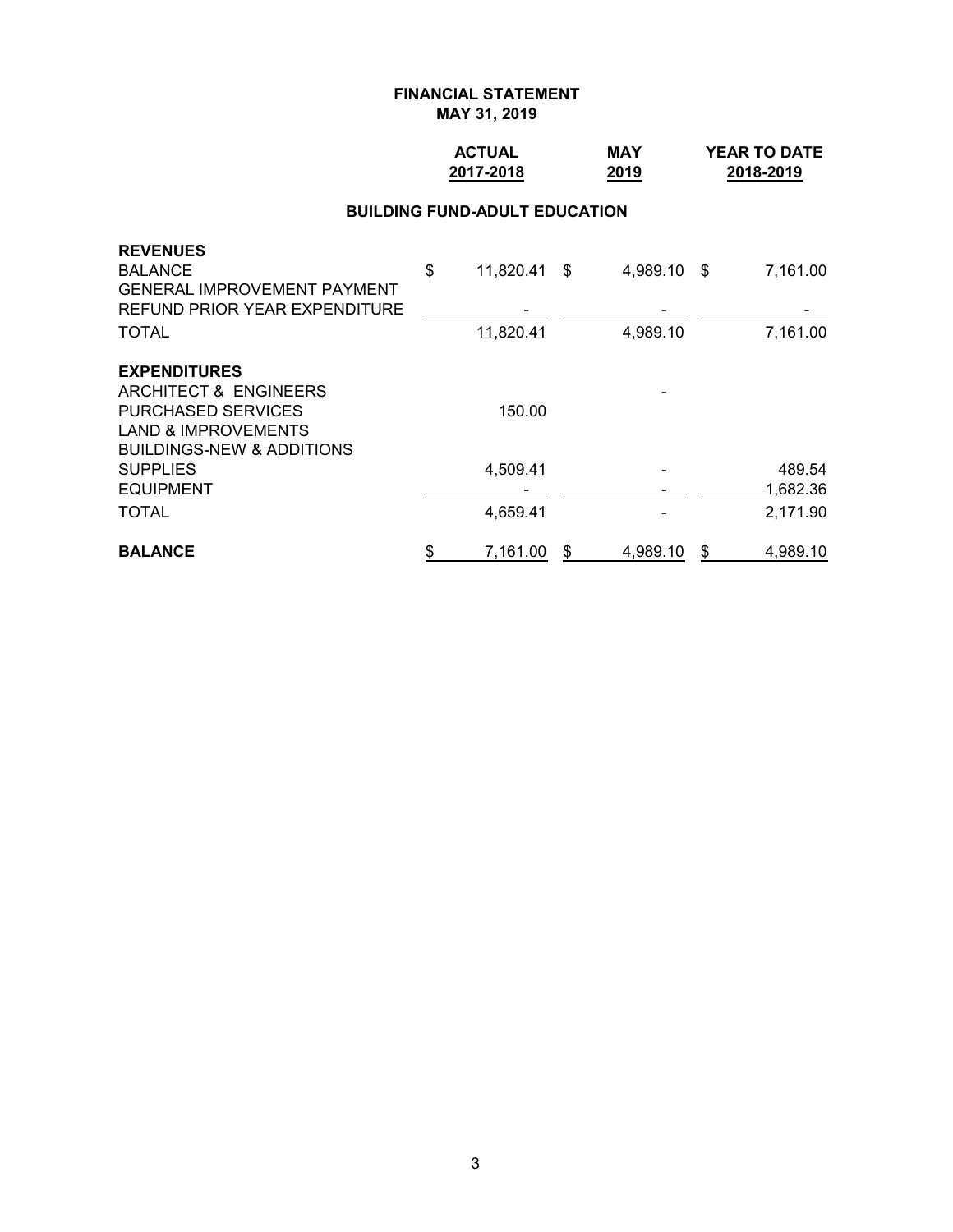## **ACTUAL MAY YEAR TO DATE 2017-2018 2019 2018-2019**

#### **BUILDING FUND-ADULT EDUCATION**

| <b>BALANCE</b>                       | \$<br>7,161.00     | S | 4,989.10    | \$<br>4,989.10 |
|--------------------------------------|--------------------|---|-------------|----------------|
| <b>TOTAL</b>                         | 4,659.41           |   |             | 2,171.90       |
| <b>EQUIPMENT</b>                     |                    |   |             | 1,682.36       |
| <b>SUPPLIES</b>                      | 4,509.41           |   |             | 489.54         |
| <b>BUILDINGS-NEW &amp; ADDITIONS</b> |                    |   |             |                |
| <b>LAND &amp; IMPROVEMENTS</b>       |                    |   |             |                |
| <b>PURCHASED SERVICES</b>            | 150.00             |   |             |                |
| ARCHITECT & ENGINEERS                |                    |   |             |                |
| <b>EXPENDITURES</b>                  |                    |   |             |                |
| <b>TOTAL</b>                         | 11,820.41          |   | 4,989.10    | 7,161.00       |
| REFUND PRIOR YEAR EXPENDITURE        |                    |   |             |                |
| <b>GENERAL IMPROVEMENT PAYMENT</b>   |                    |   |             |                |
| <b>REVENUES</b><br><b>BALANCE</b>    | \$<br>11,820.41 \$ |   | 4,989.10 \$ | 7,161.00       |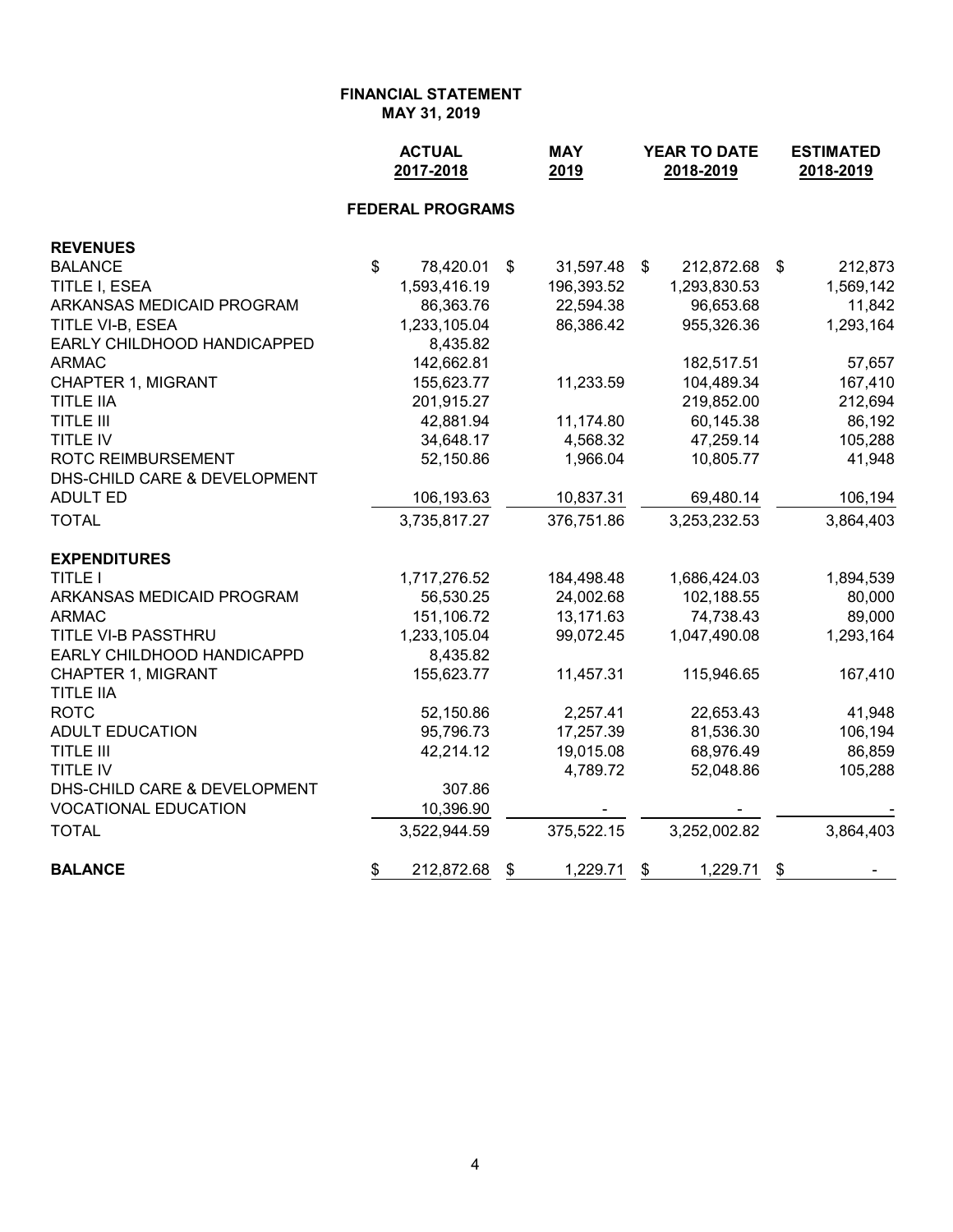**FINANCIAL STATEMENT**

**MAY 31, 2019**

|                                               |                           | <b>ACTUAL</b><br>2017-2018 |               | <b>MAY</b><br>2019 | YEAR TO DATE<br>2018-2019 |              |    | <b>ESTIMATED</b><br>2018-2019 |
|-----------------------------------------------|---------------------------|----------------------------|---------------|--------------------|---------------------------|--------------|----|-------------------------------|
|                                               |                           | <b>FEDERAL PROGRAMS</b>    |               |                    |                           |              |    |                               |
| <b>REVENUES</b>                               |                           |                            |               |                    |                           |              |    |                               |
| <b>BALANCE</b>                                | $\boldsymbol{\mathsf{S}}$ | 78,420.01                  | $\frac{1}{2}$ | 31,597.48          | $\sqrt[6]{\frac{1}{2}}$   | 212,872.68   | \$ | 212,873                       |
| TITLE I, ESEA                                 |                           | 1,593,416.19               |               | 196,393.52         |                           | 1,293,830.53 |    | 1,569,142                     |
| ARKANSAS MEDICAID PROGRAM                     |                           | 86,363.76                  |               | 22,594.38          |                           | 96,653.68    |    | 11,842                        |
| TITLE VI-B, ESEA                              |                           | 1,233,105.04               |               | 86,386.42          |                           | 955,326.36   |    | 1,293,164                     |
| EARLY CHILDHOOD HANDICAPPED                   |                           | 8,435.82                   |               |                    |                           |              |    |                               |
| <b>ARMAC</b>                                  |                           | 142,662.81                 |               |                    |                           | 182,517.51   |    | 57,657                        |
| <b>CHAPTER 1, MIGRANT</b>                     |                           | 155,623.77                 |               | 11,233.59          |                           | 104,489.34   |    | 167,410                       |
| <b>TITLE IIA</b>                              |                           | 201,915.27                 |               |                    |                           | 219,852.00   |    | 212,694                       |
| <b>TITLE III</b>                              |                           | 42,881.94                  |               | 11,174.80          |                           | 60,145.38    |    | 86,192                        |
| <b>TITLE IV</b>                               |                           | 34,648.17                  |               | 4,568.32           |                           | 47,259.14    |    | 105,288                       |
| <b>ROTC REIMBURSEMENT</b>                     |                           | 52,150.86                  |               | 1,966.04           |                           | 10,805.77    |    | 41,948                        |
| DHS-CHILD CARE & DEVELOPMENT                  |                           |                            |               |                    |                           |              |    |                               |
| <b>ADULT ED</b>                               |                           | 106,193.63                 |               | 10,837.31          |                           | 69,480.14    |    | 106,194                       |
| <b>TOTAL</b>                                  |                           | 3,735,817.27               |               | 376,751.86         |                           | 3,253,232.53 |    | 3,864,403                     |
| <b>EXPENDITURES</b>                           |                           |                            |               |                    |                           |              |    |                               |
| <b>TITLE I</b>                                |                           | 1,717,276.52               |               | 184,498.48         |                           | 1,686,424.03 |    | 1,894,539                     |
| ARKANSAS MEDICAID PROGRAM                     |                           | 56,530.25                  |               | 24,002.68          |                           | 102,188.55   |    | 80,000                        |
| <b>ARMAC</b>                                  |                           | 151,106.72                 |               | 13,171.63          |                           | 74,738.43    |    | 89,000                        |
| TITLE VI-B PASSTHRU                           |                           | 1,233,105.04               |               | 99,072.45          |                           | 1,047,490.08 |    | 1,293,164                     |
| EARLY CHILDHOOD HANDICAPPD                    |                           | 8,435.82                   |               |                    |                           |              |    |                               |
| <b>CHAPTER 1, MIGRANT</b><br><b>TITLE IIA</b> |                           | 155,623.77                 |               | 11,457.31          |                           | 115,946.65   |    | 167,410                       |
| <b>ROTC</b>                                   |                           | 52,150.86                  |               | 2,257.41           |                           | 22,653.43    |    | 41,948                        |
| <b>ADULT EDUCATION</b>                        |                           | 95,796.73                  |               | 17,257.39          |                           | 81,536.30    |    | 106,194                       |
| <b>TITLE III</b>                              |                           | 42,214.12                  |               | 19,015.08          |                           | 68,976.49    |    | 86,859                        |
| TITLE IV                                      |                           |                            |               | 4,789.72           |                           | 52,048.86    |    | 105,288                       |
| DHS-CHILD CARE & DEVELOPMENT                  |                           | 307.86                     |               |                    |                           |              |    |                               |
| <b>VOCATIONAL EDUCATION</b>                   |                           | 10,396.90                  |               |                    |                           |              |    |                               |
| <b>TOTAL</b>                                  |                           | 3,522,944.59               |               | 375,522.15         |                           | 3,252,002.82 |    | 3,864,403                     |
| <b>BALANCE</b>                                | \$                        | 212,872.68                 | \$            | 1,229.71           | \$                        | 1,229.71     | \$ |                               |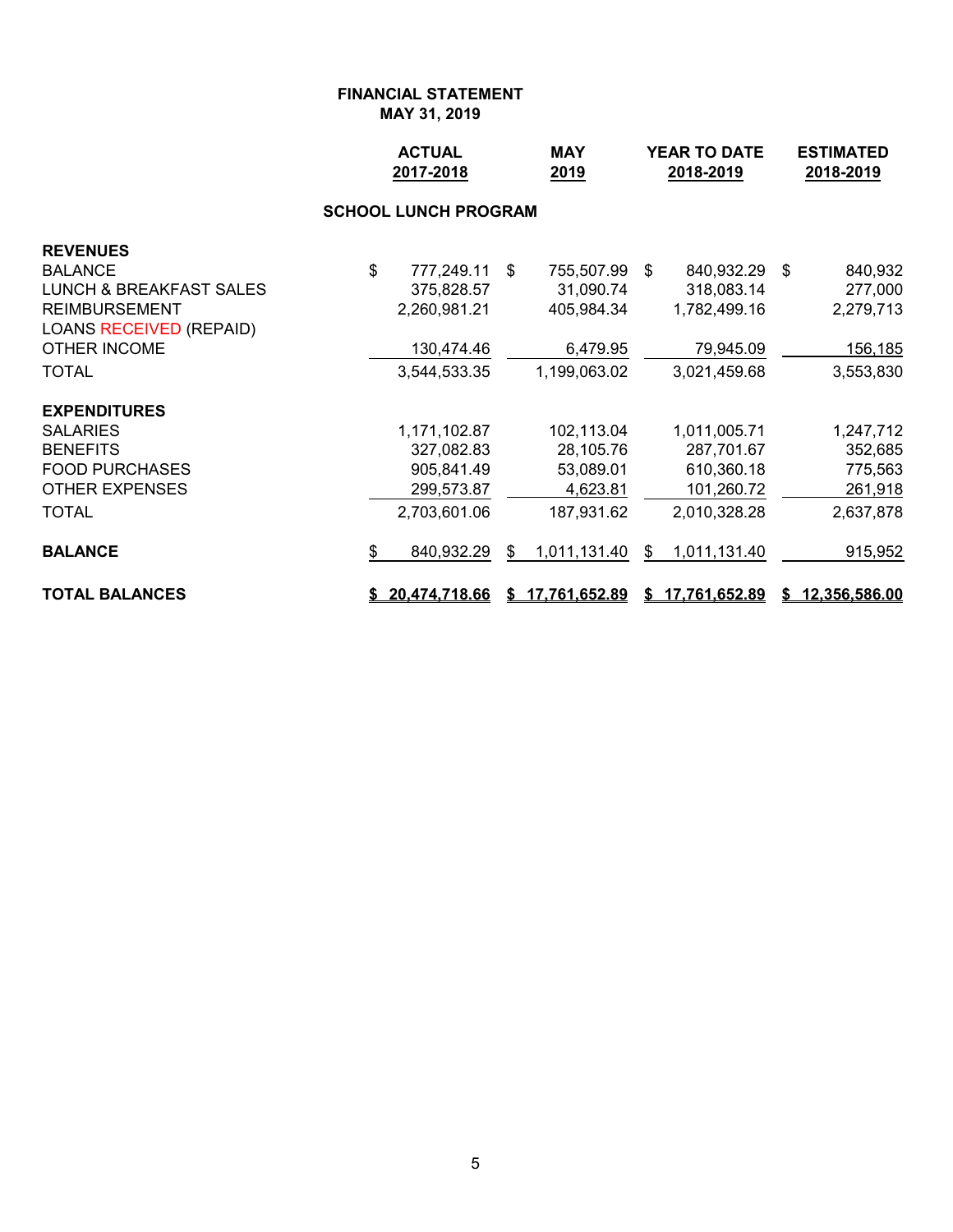|                                | <b>ACTUAL</b><br>2017-2018  | <b>MAY</b><br>2019     | <b>YEAR TO DATE</b><br>2018-2019 |                 |  | <b>ESTIMATED</b><br>2018-2019 |  |
|--------------------------------|-----------------------------|------------------------|----------------------------------|-----------------|--|-------------------------------|--|
|                                | <b>SCHOOL LUNCH PROGRAM</b> |                        |                                  |                 |  |                               |  |
| <b>REVENUES</b>                |                             |                        |                                  |                 |  |                               |  |
| <b>BALANCE</b>                 | \$<br>777,249.11            | \$<br>755,507.99 \$    |                                  | 840,932.29 \$   |  | 840,932                       |  |
| LUNCH & BREAKFAST SALES        | 375,828.57                  | 31,090.74              |                                  | 318,083.14      |  | 277,000                       |  |
| <b>REIMBURSEMENT</b>           | 2,260,981.21                | 405,984.34             |                                  | 1,782,499.16    |  | 2,279,713                     |  |
| <b>LOANS RECEIVED (REPAID)</b> |                             |                        |                                  |                 |  |                               |  |
| <b>OTHER INCOME</b>            | 130,474.46                  | 6,479.95               |                                  | 79,945.09       |  | 156,185                       |  |
| <b>TOTAL</b>                   | 3,544,533.35                | 1,199,063.02           |                                  | 3,021,459.68    |  | 3,553,830                     |  |
| <b>EXPENDITURES</b>            |                             |                        |                                  |                 |  |                               |  |
| <b>SALARIES</b>                | 1,171,102.87                | 102,113.04             |                                  | 1,011,005.71    |  | 1,247,712                     |  |
| <b>BENEFITS</b>                | 327,082.83                  | 28,105.76              |                                  | 287,701.67      |  | 352,685                       |  |
| <b>FOOD PURCHASES</b>          | 905,841.49                  | 53,089.01              |                                  | 610,360.18      |  | 775,563                       |  |
| <b>OTHER EXPENSES</b>          | 299,573.87                  | 4,623.81               |                                  | 101,260.72      |  | 261,918                       |  |
| <b>TOTAL</b>                   | 2,703,601.06                | 187,931.62             |                                  | 2,010,328.28    |  | 2,637,878                     |  |
| <b>BALANCE</b>                 | \$<br>840,932.29            | \$<br>1,011,131.40     | \$                               | 1,011,131.40    |  | 915,952                       |  |
| <b>TOTAL BALANCES</b>          | <u>\$20,474,718.66</u>      | <u>\$17,761,652.89</u> |                                  | \$17,761,652.89 |  | \$12,356,586.00               |  |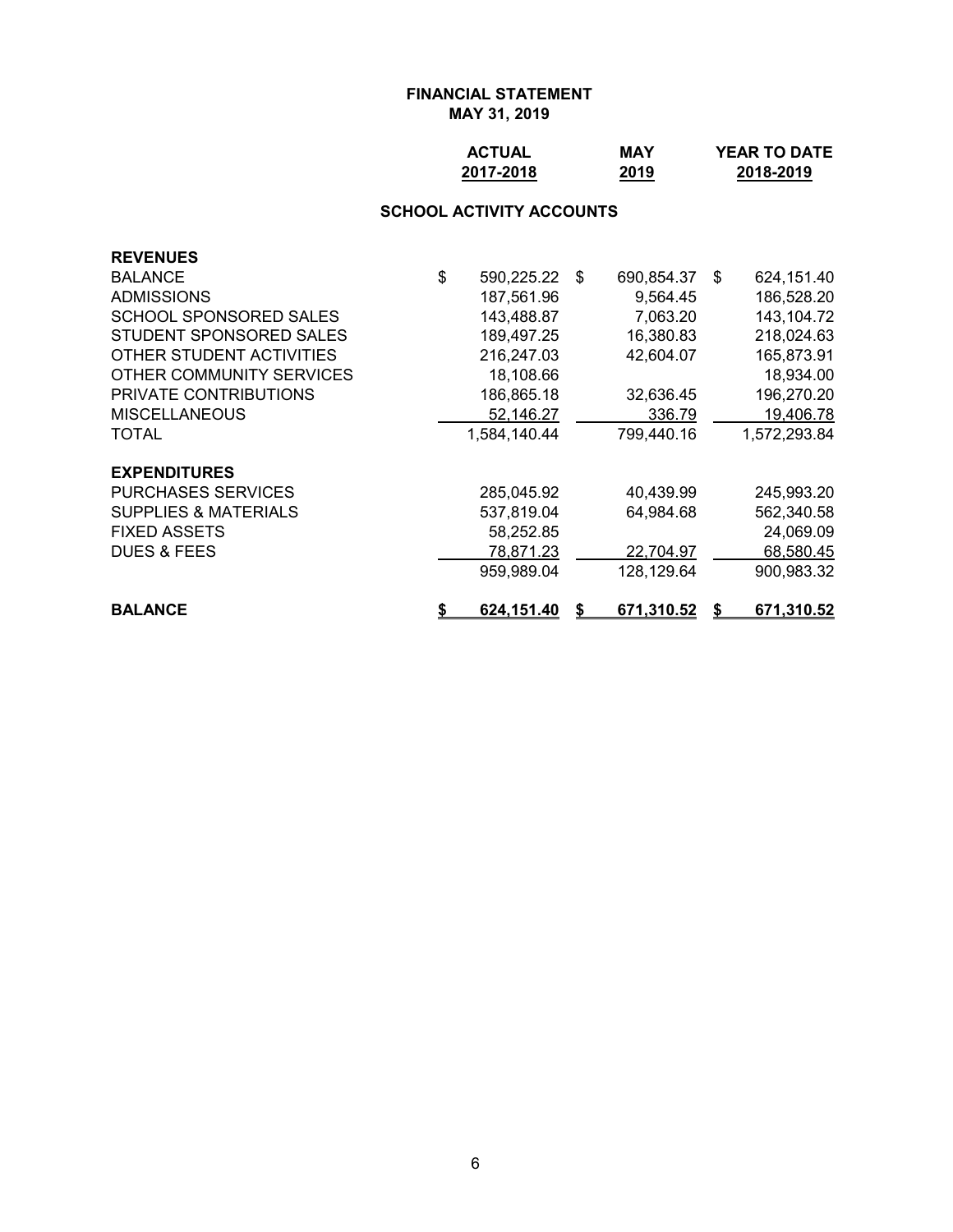| <b>ACTUAL</b> | <b>MAY</b> | <b>YEAR TO DATE</b> |
|---------------|------------|---------------------|
| 2017-2018     | 2019       | 2018-2019           |

# **SCHOOL ACTIVITY ACCOUNTS**

| <b>REVENUES</b>                 |                     |            |      |              |
|---------------------------------|---------------------|------------|------|--------------|
| <b>BALANCE</b>                  | \$<br>590,225.22 \$ | 690,854.37 | - \$ | 624,151.40   |
| <b>ADMISSIONS</b>               | 187,561.96          | 9,564.45   |      | 186,528.20   |
| SCHOOL SPONSORED SALES          | 143,488.87          | 7,063.20   |      | 143,104.72   |
| STUDENT SPONSORED SALES         | 189,497.25          | 16,380.83  |      | 218,024.63   |
| OTHER STUDENT ACTIVITIES        | 216,247.03          | 42,604.07  |      | 165,873.91   |
| OTHER COMMUNITY SERVICES        | 18,108.66           |            |      | 18,934.00    |
| <b>PRIVATE CONTRIBUTIONS</b>    | 186,865.18          | 32,636.45  |      | 196,270.20   |
| <b>MISCELLANEOUS</b>            | 52,146.27           | 336.79     |      | 19,406.78    |
| <b>TOTAL</b>                    | 1,584,140.44        | 799,440.16 |      | 1,572,293.84 |
| <b>EXPENDITURES</b>             |                     |            |      |              |
| <b>PURCHASES SERVICES</b>       | 285,045.92          | 40,439.99  |      | 245,993.20   |
| <b>SUPPLIES &amp; MATERIALS</b> | 537,819.04          | 64,984.68  |      | 562,340.58   |
| <b>FIXED ASSETS</b>             | 58,252.85           |            |      | 24,069.09    |
| <b>DUES &amp; FEES</b>          | 78,871.23           | 22,704.97  |      | 68,580.45    |
|                                 | 959,989.04          | 128,129.64 |      | 900,983.32   |
| <b>BALANCE</b>                  | 624,151.40          | 671,310.52 |      | 671,310.52   |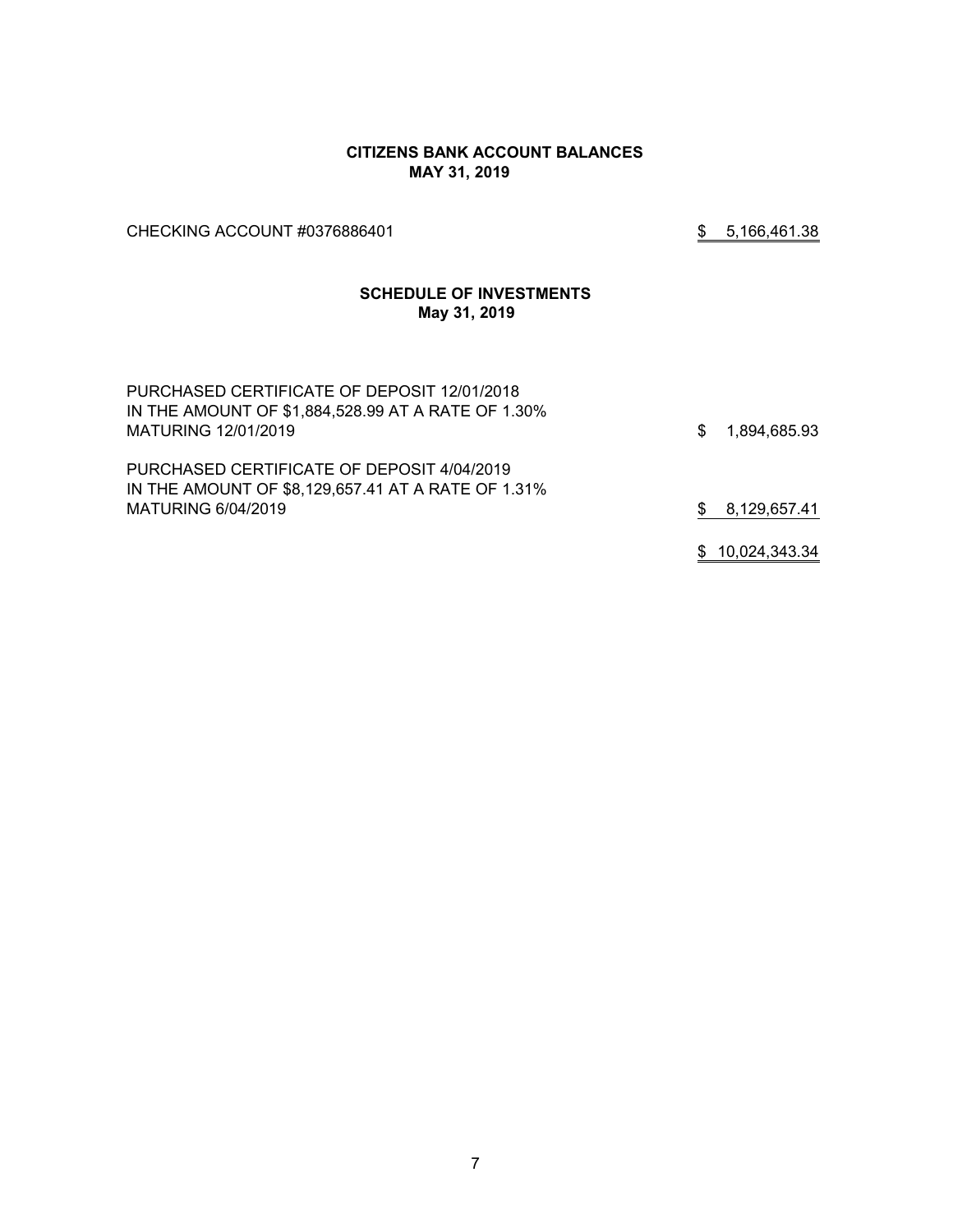#### **CITIZENS BANK ACCOUNT BALANCES MAY 31, 2019**

CHECKING ACCOUNT #0376886401 \$ 5,166,461.38

# **SCHEDULE OF INVESTMENTS May 31, 2019**

| PURCHASED CERTIFICATE OF DEPOSIT 12/01/2018<br>IN THE AMOUNT OF \$1,884,528.99 AT A RATE OF 1.30%<br>MATURING 12/01/2019 | \$ | 1,894,685.93    |
|--------------------------------------------------------------------------------------------------------------------------|----|-----------------|
| PURCHASED CERTIFICATE OF DEPOSIT 4/04/2019<br>IN THE AMOUNT OF \$8,129,657.41 AT A RATE OF 1.31%<br>MATURING 6/04/2019   | S. | 8,129,657.41    |
|                                                                                                                          |    | \$10,024,343.34 |

7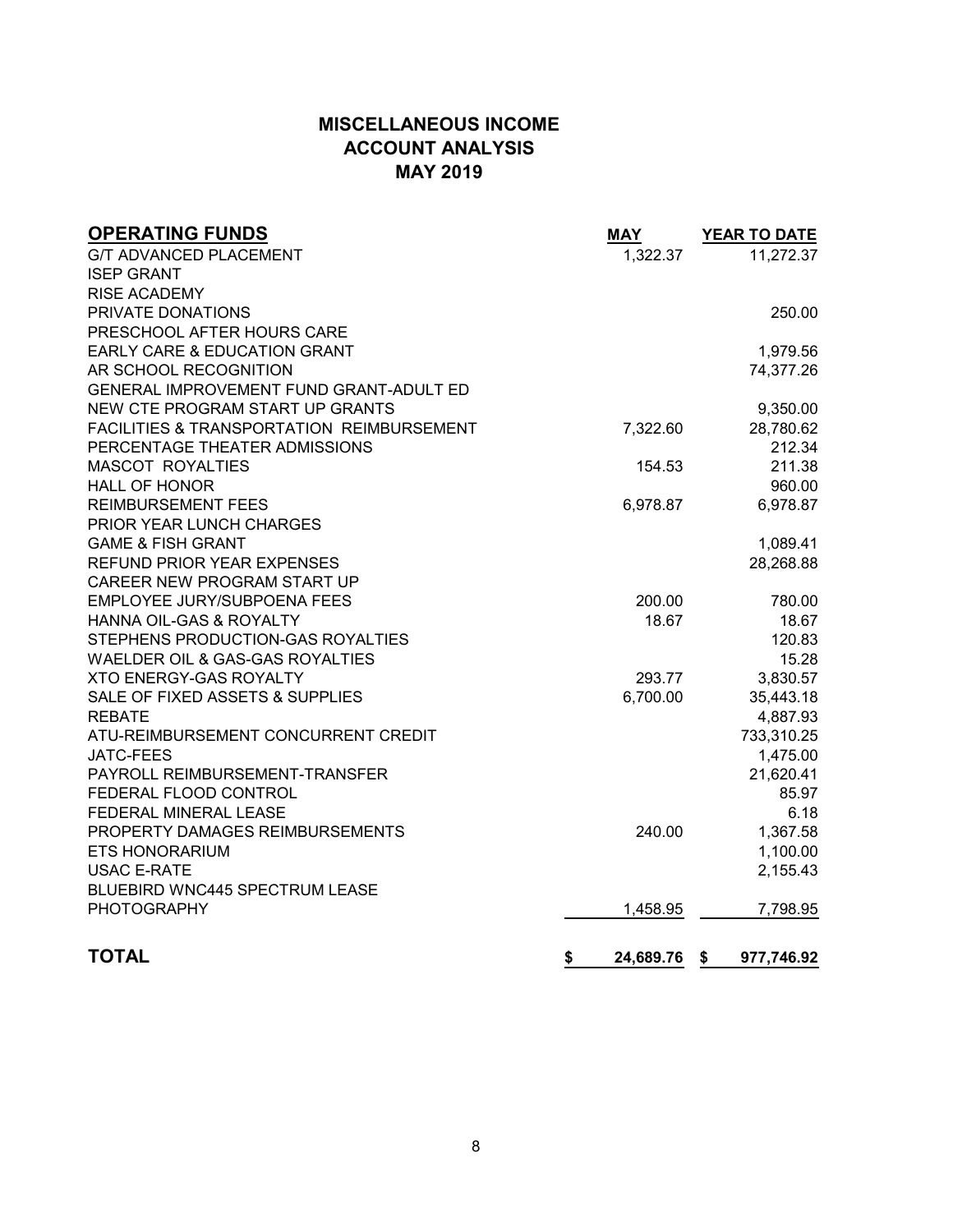# **MISCELLANEOUS INCOME ACCOUNT ANALYSIS MAY 2019**

| <b>OPERATING FUNDS</b>                               | <b>MAY</b>      | <b>YEAR TO DATE</b> |
|------------------------------------------------------|-----------------|---------------------|
| <b>G/T ADVANCED PLACEMENT</b>                        | 1,322.37        | 11,272.37           |
| <b>ISEP GRANT</b>                                    |                 |                     |
| <b>RISE ACADEMY</b>                                  |                 |                     |
| PRIVATE DONATIONS                                    |                 | 250.00              |
| PRESCHOOL AFTER HOURS CARE                           |                 |                     |
| <b>EARLY CARE &amp; EDUCATION GRANT</b>              |                 | 1,979.56            |
| AR SCHOOL RECOGNITION                                |                 | 74,377.26           |
| GENERAL IMPROVEMENT FUND GRANT-ADULT ED              |                 |                     |
| NEW CTE PROGRAM START UP GRANTS                      |                 | 9,350.00            |
| <b>FACILITIES &amp; TRANSPORTATION REIMBURSEMENT</b> | 7,322.60        | 28,780.62           |
| PERCENTAGE THEATER ADMISSIONS                        |                 | 212.34              |
| <b>MASCOT ROYALTIES</b>                              | 154.53          | 211.38              |
| <b>HALL OF HONOR</b>                                 |                 | 960.00              |
| <b>REIMBURSEMENT FEES</b>                            | 6,978.87        | 6,978.87            |
| PRIOR YEAR LUNCH CHARGES                             |                 |                     |
| <b>GAME &amp; FISH GRANT</b>                         |                 | 1,089.41            |
| REFUND PRIOR YEAR EXPENSES                           |                 | 28,268.88           |
| CAREER NEW PROGRAM START UP                          |                 |                     |
| EMPLOYEE JURY/SUBPOENA FEES                          | 200.00          | 780.00              |
| HANNA OIL-GAS & ROYALTY                              | 18.67           | 18.67               |
| STEPHENS PRODUCTION-GAS ROYALTIES                    |                 | 120.83              |
| WAELDER OIL & GAS-GAS ROYALTIES                      |                 | 15.28               |
| <b>XTO ENERGY-GAS ROYALTY</b>                        | 293.77          | 3,830.57            |
| SALE OF FIXED ASSETS & SUPPLIES                      | 6,700.00        | 35,443.18           |
| <b>REBATE</b>                                        |                 | 4,887.93            |
| ATU-REIMBURSEMENT CONCURRENT CREDIT                  |                 | 733,310.25          |
| <b>JATC-FEES</b>                                     |                 | 1,475.00            |
| PAYROLL REIMBURSEMENT-TRANSFER                       |                 | 21,620.41           |
| FEDERAL FLOOD CONTROL                                |                 | 85.97               |
| FEDERAL MINERAL LEASE                                |                 | 6.18                |
| PROPERTY DAMAGES REIMBURSEMENTS                      | 240.00          | 1,367.58            |
| <b>ETS HONORARIUM</b>                                |                 | 1,100.00            |
| <b>USAC E-RATE</b>                                   |                 | 2,155.43            |
| BLUEBIRD WNC445 SPECTRUM LEASE                       |                 |                     |
| <b>PHOTOGRAPHY</b>                                   | 1,458.95        | 7,798.95            |
| <b>TOTAL</b>                                         | \$<br>24,689.76 | \$<br>977,746.92    |